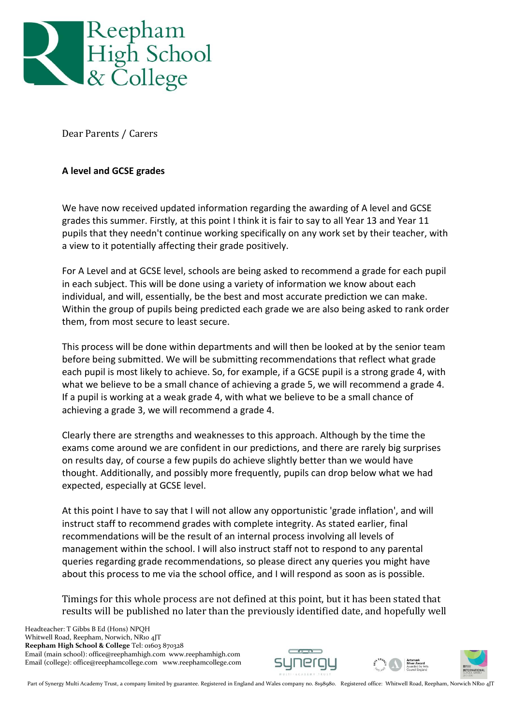

Dear Parents / Carers

## **A level and GCSE grades**

We have now received updated information regarding the awarding of A level and GCSE grades this summer. Firstly, at this point I think it is fair to say to all Year 13 and Year 11 pupils that they needn't continue working specifically on any work set by their teacher, with a view to it potentially affecting their grade positively.

For A Level and at GCSE level, schools are being asked to recommend a grade for each pupil in each subject. This will be done using a variety of information we know about each individual, and will, essentially, be the best and most accurate prediction we can make. Within the group of pupils being predicted each grade we are also being asked to rank order them, from most secure to least secure.

This process will be done within departments and will then be looked at by the senior team before being submitted. We will be submitting recommendations that reflect what grade each pupil is most likely to achieve. So, for example, if a GCSE pupil is a strong grade 4, with what we believe to be a small chance of achieving a grade 5, we will recommend a grade 4. If a pupil is working at a weak grade 4, with what we believe to be a small chance of achieving a grade 3, we will recommend a grade 4.

Clearly there are strengths and weaknesses to this approach. Although by the time the exams come around we are confident in our predictions, and there are rarely big surprises on results day, of course a few pupils do achieve slightly better than we would have thought. Additionally, and possibly more frequently, pupils can drop below what we had expected, especially at GCSE level.

At this point I have to say that I will not allow any opportunistic 'grade inflation', and will instruct staff to recommend grades with complete integrity. As stated earlier, final recommendations will be the result of an internal process involving all levels of management within the school. I will also instruct staff not to respond to any parental queries regarding grade recommendations, so please direct any queries you might have about this process to me via the school office, and I will respond as soon as is possible.

Timings for this whole process are not defined at this point, but it has been stated that results will be published no later than the previously identified date, and hopefully well

 Headteacher: T Gibbs B Ed (Hons) NPQH Whitwell Road, Reepham, Norwich, NR10 4JT **Reepham High School & College** Tel: 01603 870328 Email (main school): office@reephamhigh.com www.reephamhigh.com Email (college): office@reephamcollege.com www.reephamcollege.com







Part of Synergy Multi Academy Trust, a company limited by guarantee. Registered in England and Wales company no. 8198980. Registered office: Whitwell Road, Reepham, Norwich NR10 4JT